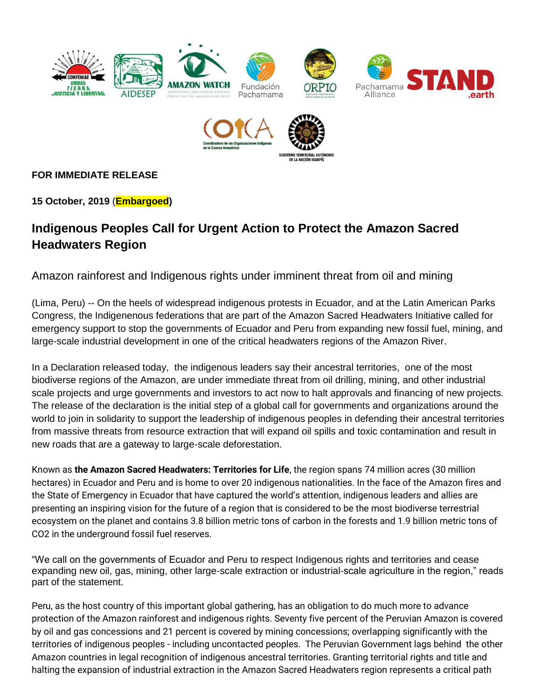



### **FOR IMMEDIATE RELEASE**

**15 October, 2019** (**Embargoed)**

## **Indigenous Peoples Call for Urgent Action to Protect the Amazon Sacred Headwaters Region**

Amazon rainforest and Indigenous rights under imminent threat from oil and mining

(Lima, Peru) -- On the heels of widespread indigenous protests in Ecuador, and at the Latin American Parks Congress, the Indigenenous federations that are part of the Amazon Sacred Headwaters Initiative called for emergency support to stop the governments of Ecuador and Peru from expanding new fossil fuel, mining, and large-scale industrial development in one of the critical headwaters regions of the Amazon River.

In a Declaration released today, the indigenous leaders say their ancestral territories, one of the most biodiverse regions of the Amazon, are under immediate threat from oil drilling, mining, and other industrial scale projects and urge governments and investors to act now to halt approvals and financing of new projects. The release of the declaration is the initial step of a global call for governments and organizations around the world to join in solidarity to support the leadership of indigenous peoples in defending their ancestral territories from massive threats from resource extraction that will expand oil spills and toxic contamination and result in new roads that are a gateway to large-scale deforestation.

Known as **the Amazon Sacred Headwaters: Territories for Life**, the region spans 74 million acres (30 million hectares) in Ecuador and Peru and is home to over 20 indigenous nationalities. In the face of the Amazon fires and the State of Emergency in Ecuador that have captured the world's attention, indigenous leaders and allies are presenting an inspiring vision for the future of a region that is considered to be the most biodiverse terrestrial ecosystem on the planet and contains 3.8 billion metric tons of carbon in the forests and 1.9 billion metric tons of CO2 in the underground fossil fuel reserves.

"We call on the governments of Ecuador and Peru to respect Indigenous rights and territories and cease expanding new oil, gas, mining, other large-scale extraction or industrial-scale agriculture in the region," reads part of the statement.

Peru, as the host country of this important global gathering, has an obligation to do much more to advance protection of the Amazon rainforest and indigenous rights. Seventy five percent of the Peruvian Amazon is covered by oil and gas concessions and 21 percent is covered by mining concessions; overlapping significantly with the territories of indigenous peoples - including uncontacted peoples. The Peruvian Government lags behind the other Amazon countries in legal recognition of indigenous ancestral territories. Granting territorial rights and title and halting the expansion of industrial extraction in the Amazon Sacred Headwaters region represents a critical path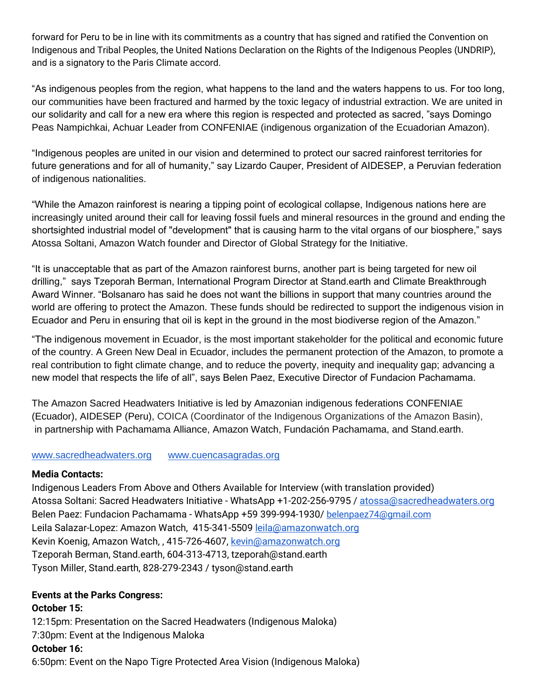forward for Peru to be in line with its commitments as a country that has signed and ratified the Convention on Indigenous and Tribal Peoples, the United Nations Declaration on the Rights of the Indigenous Peoples (UNDRIP), and is a signatory to the Paris Climate accord.

"As indigenous peoples from the region, what happens to the land and the waters happens to us. For too long, our communities have been fractured and harmed by the toxic legacy of industrial extraction. We are united in our solidarity and call for a new era where this region is respected and protected as sacred, "says Domingo Peas Nampichkai, Achuar Leader from CONFENIAE (indigenous organization of the Ecuadorian Amazon).

"Indigenous peoples are united in our vision and determined to protect our sacred rainforest territories for future generations and for all of humanity," say Lizardo Cauper, President of AIDESEP, a Peruvian federation of indigenous nationalities.

"While the Amazon rainforest is nearing a tipping point of ecological collapse, Indigenous nations here are increasingly united around their call for leaving fossil fuels and mineral resources in the ground and ending the shortsighted industrial model of "development" that is causing harm to the vital organs of our biosphere," says Atossa Soltani, Amazon Watch founder and Director of Global Strategy for the Initiative.

"It is unacceptable that as part of the Amazon rainforest burns, another part is being targeted for new oil drilling," says Tzeporah Berman, International Program Director at Stand.earth and Climate Breakthrough Award Winner. "Bolsanaro has said he does not want the billions in support that many countries around the world are offering to protect the Amazon. These funds should be redirected to support the indigenous vision in Ecuador and Peru in ensuring that oil is kept in the ground in the most biodiverse region of the Amazon."

"The indigenous movement in Ecuador, is the most important stakeholder for the political and economic future of the country. A Green New Deal in Ecuador, includes the permanent protection of the Amazon, to promote a real contribution to fight climate change, and to reduce the poverty, inequity and inequality gap; advancing a new model that respects the life of all", says Belen Paez, Executive Director of Fundacion Pachamama.

The Amazon Sacred Headwaters Initiative is led by Amazonian indigenous federations CONFENIAE (Ecuador), AIDESEP (Peru), COICA (Coordinator of the Indigenous Organizations of the Amazon Basin), in partnership with Pachamama Alliance, Amazon Watch, Fundación Pachamama, and Stand.earth.

#### [www.sacredheadwaters.org](http://www.sacredheadwaters.org/) [www.cuencasagradas.org](http://www.cuencasagradas.org/)

#### **Media Contacts:**

Indigenous Leaders From Above and Others Available for Interview (with translation provided) Atossa Soltani: Sacred Headwaters Initiative - WhatsApp +1-202-256-9795 / [atossa@sacredheadwaters.org](mailto:atossa@sacredheadwaters.org) Belen Paez: Fundacion Pachamama - WhatsApp +59 399-994-1930/ [belenpaez74@gmail.com](mailto:belenpaez74@gmail.com) Leila Salazar-Lopez: Amazon Watch, 415-341-5509 [leila@amazonwatch.org](mailto:leila@amazonwatch.org) Kevin Koenig, Amazon Watch,, 415-726-4607, [kevin@amazonwatch.org](mailto:kevin@amazonwatch.org) Tzeporah Berman, Stand.earth, 604-313-4713, tzeporah@stand.earth Tyson Miller, Stand.earth, 828-279-2343 / tyson@stand.earth

#### **Events at the Parks Congress:**

#### **October 15:**

12:15pm: Presentation on the Sacred Headwaters (Indigenous Maloka) 7:30pm: Event at the Indigenous Maloka

#### **October 16:**

6:50pm: Event on the Napo Tigre Protected Area Vision (Indigenous Maloka)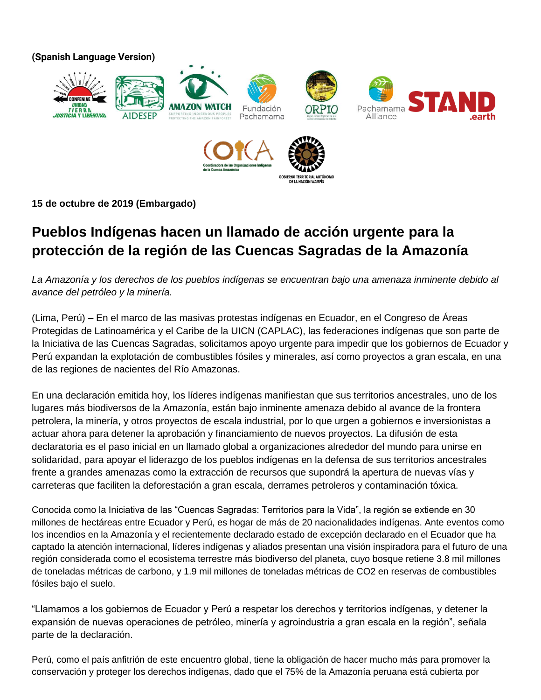**(Spanish Language Version)**



**15 de octubre de 2019 (Embargado)**

# **Pueblos Indígenas hacen un llamado de acción urgente para la protección de la región de las Cuencas Sagradas de la Amazonía**

*La Amazonía y los derechos de los pueblos indígenas se encuentran bajo una amenaza inminente debido al avance del petróleo y la minería.*

(Lima, Perú) – En el marco de las masivas protestas indígenas en Ecuador, en el Congreso de Áreas Protegidas de Latinoamérica y el Caribe de la UICN (CAPLAC), las federaciones indígenas que son parte de la Iniciativa de las Cuencas Sagradas, solicitamos apoyo urgente para impedir que los gobiernos de Ecuador y Perú expandan la explotación de combustibles fósiles y minerales, así como proyectos a gran escala, en una de las regiones de nacientes del Río Amazonas.

En una declaración emitida hoy, los líderes indígenas manifiestan que sus territorios ancestrales, uno de los lugares más biodiversos de la Amazonía, están bajo inminente amenaza debido al avance de la frontera petrolera, la minería, y otros proyectos de escala industrial, por lo que urgen a gobiernos e inversionistas a actuar ahora para detener la aprobación y financiamiento de nuevos proyectos. La difusión de esta declaratoria es el paso inicial en un llamado global a organizaciones alrededor del mundo para unirse en solidaridad, para apoyar el liderazgo de los pueblos indígenas en la defensa de sus territorios ancestrales frente a grandes amenazas como la extracción de recursos que supondrá la apertura de nuevas vías y carreteras que faciliten la deforestación a gran escala, derrames petroleros y contaminación tóxica.

Conocida como la Iniciativa de las "Cuencas Sagradas: Territorios para la Vida", la región se extiende en 30 millones de hectáreas entre Ecuador y Perú, es hogar de más de 20 nacionalidades indígenas. Ante eventos como los incendios en la Amazonía y el recientemente declarado estado de excepción declarado en el Ecuador que ha captado la atención internacional, líderes indígenas y aliados presentan una visión inspiradora para el futuro de una región considerada como el ecosistema terrestre más biodiverso del planeta, cuyo bosque retiene 3.8 mil millones de toneladas métricas de carbono, y 1.9 mil millones de toneladas métricas de CO2 en reservas de combustibles fósiles bajo el suelo.

"Llamamos a los gobiernos de Ecuador y Perú a respetar los derechos y territorios indígenas, y detener la expansión de nuevas operaciones de petróleo, minería y agroindustria a gran escala en la región", señala parte de la declaración.

Perú, como el país anfitrión de este encuentro global, tiene la obligación de hacer mucho más para promover la conservación y proteger los derechos indígenas, dado que el 75% de la Amazonía peruana está cubierta por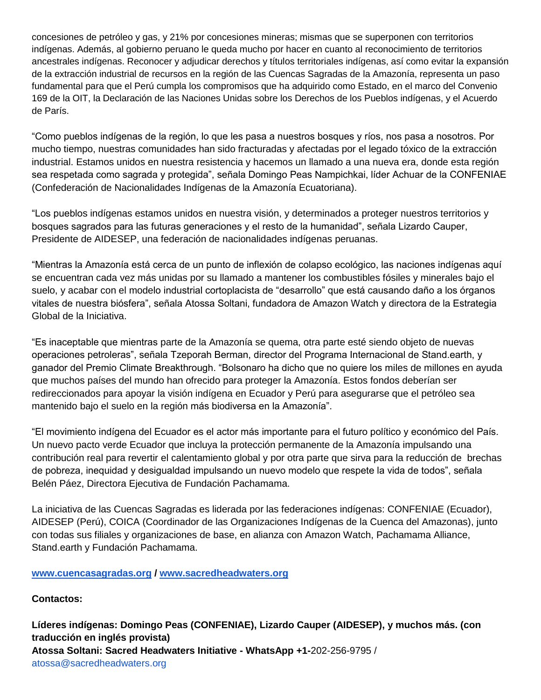concesiones de petróleo y gas, y 21% por concesiones mineras; mismas que se superponen con territorios indígenas. Además, al gobierno peruano le queda mucho por hacer en cuanto al reconocimiento de territorios ancestrales indígenas. Reconocer y adjudicar derechos y títulos territoriales indígenas, así como evitar la expansión de la extracción industrial de recursos en la región de las Cuencas Sagradas de la Amazonía, representa un paso fundamental para que el Perú cumpla los compromisos que ha adquirido como Estado, en el marco del Convenio 169 de la OIT, la Declaración de las Naciones Unidas sobre los Derechos de los Pueblos indígenas, y el Acuerdo de París.

"Como pueblos indígenas de la región, lo que les pasa a nuestros bosques y ríos, nos pasa a nosotros. Por mucho tiempo, nuestras comunidades han sido fracturadas y afectadas por el legado tóxico de la extracción industrial. Estamos unidos en nuestra resistencia y hacemos un llamado a una nueva era, donde esta región sea respetada como sagrada y protegida", señala Domingo Peas Nampichkai, líder Achuar de la CONFENIAE (Confederación de Nacionalidades Indígenas de la Amazonía Ecuatoriana).

"Los pueblos indígenas estamos unidos en nuestra visión, y determinados a proteger nuestros territorios y bosques sagrados para las futuras generaciones y el resto de la humanidad", señala Lizardo Cauper, Presidente de AIDESEP, una federación de nacionalidades indígenas peruanas.

"Mientras la Amazonía está cerca de un punto de inflexión de colapso ecológico, las naciones indígenas aquí se encuentran cada vez más unidas por su llamado a mantener los combustibles fósiles y minerales bajo el suelo, y acabar con el modelo industrial cortoplacista de "desarrollo" que está causando daño a los órganos vitales de nuestra biósfera", señala Atossa Soltani, fundadora de Amazon Watch y directora de la Estrategia Global de la Iniciativa.

"Es inaceptable que mientras parte de la Amazonía se quema, otra parte esté siendo objeto de nuevas operaciones petroleras", señala Tzeporah Berman, director del Programa Internacional de Stand.earth, y ganador del Premio Climate Breakthrough. "Bolsonaro ha dicho que no quiere los miles de millones en ayuda que muchos países del mundo han ofrecido para proteger la Amazonía. Estos fondos deberían ser redireccionados para apoyar la visión indígena en Ecuador y Perú para asegurarse que el petróleo sea mantenido bajo el suelo en la región más biodiversa en la Amazonía".

"El movimiento indígena del Ecuador es el actor más importante para el futuro político y económico del País. Un nuevo pacto verde Ecuador que incluya la protección permanente de la Amazonía impulsando una contribución real para revertir el calentamiento global y por otra parte que sirva para la reducción de brechas de pobreza, inequidad y desigualdad impulsando un nuevo modelo que respete la vida de todos", señala Belén Páez, Directora Ejecutiva de Fundación Pachamama.

La iniciativa de las Cuencas Sagradas es liderada por las federaciones indígenas: CONFENIAE (Ecuador), AIDESEP (Perú), COICA (Coordinador de las Organizaciones Indígenas de la Cuenca del Amazonas), junto con todas sus filiales y organizaciones de base, en alianza con Amazon Watch, Pachamama Alliance, Stand.earth y Fundación Pachamama.

**[www.cuencasagradas.org](http://www.cuencasagradas.org/) / [www.sacredheadwaters.org](http://www.sacredheadwaters.org/)**

**Contactos:**

**Líderes indígenas: Domingo Peas (CONFENIAE), Lizardo Cauper (AIDESEP), y muchos más. (con traducción en inglés provista) Atossa Soltani: Sacred Headwaters Initiative - WhatsApp +1-**202-256-9795 / atossa@sacredheadwaters.org